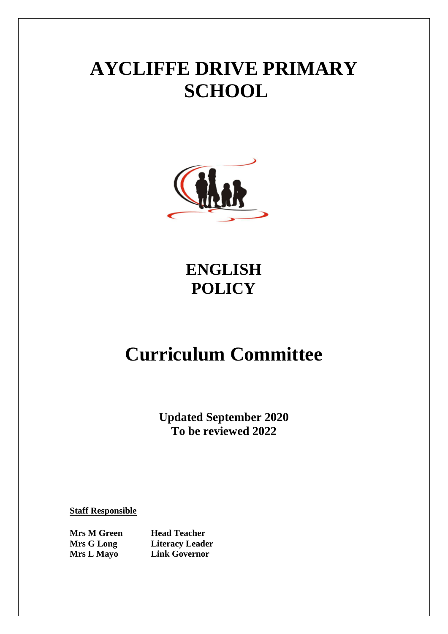# **AYCLIFFE DRIVE PRIMARY SCHOOL**



**ENGLISH POLICY**

# **Curriculum Committee**

**Updated September 2020 To be reviewed 2022**

**Staff Responsible**

**Mrs M Green Head Teacher** 

**Mrs G Long Literacy Leader Mrs L Mayo Link Governor**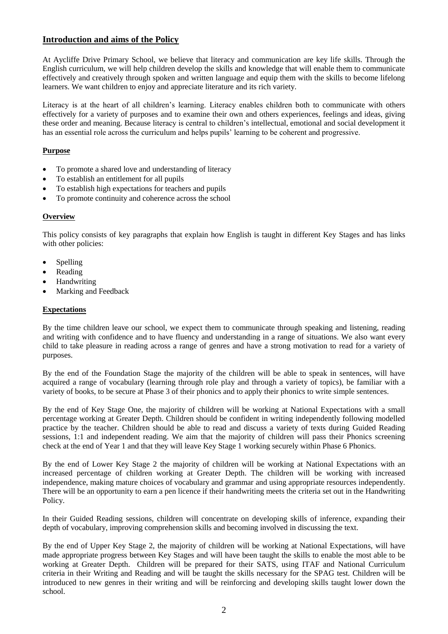# **Introduction and aims of the Policy**

At Aycliffe Drive Primary School, we believe that literacy and communication are key life skills. Through the English curriculum, we will help children develop the skills and knowledge that will enable them to communicate effectively and creatively through spoken and written language and equip them with the skills to become lifelong learners. We want children to enjoy and appreciate literature and its rich variety.

Literacy is at the heart of all children's learning. Literacy enables children both to communicate with others effectively for a variety of purposes and to examine their own and others experiences, feelings and ideas, giving these order and meaning. Because literacy is central to children's intellectual, emotional and social development it has an essential role across the curriculum and helps pupils' learning to be coherent and progressive.

# **Purpose**

- To promote a shared love and understanding of literacy
- To establish an entitlement for all pupils
- To establish high expectations for teachers and pupils
- To promote continuity and coherence across the school

# **Overview**

This policy consists of key paragraphs that explain how English is taught in different Key Stages and has links with other policies:

- Spelling
- Reading
- Handwriting
- Marking and Feedback

# **Expectations**

By the time children leave our school, we expect them to communicate through speaking and listening, reading and writing with confidence and to have fluency and understanding in a range of situations. We also want every child to take pleasure in reading across a range of genres and have a strong motivation to read for a variety of purposes.

By the end of the Foundation Stage the majority of the children will be able to speak in sentences, will have acquired a range of vocabulary (learning through role play and through a variety of topics), be familiar with a variety of books, to be secure at Phase 3 of their phonics and to apply their phonics to write simple sentences.

By the end of Key Stage One, the majority of children will be working at National Expectations with a small percentage working at Greater Depth. Children should be confident in writing independently following modelled practice by the teacher. Children should be able to read and discuss a variety of texts during Guided Reading sessions, 1:1 and independent reading. We aim that the majority of children will pass their Phonics screening check at the end of Year 1 and that they will leave Key Stage 1 working securely within Phase 6 Phonics.

By the end of Lower Key Stage 2 the majority of children will be working at National Expectations with an increased percentage of children working at Greater Depth. The children will be working with increased independence, making mature choices of vocabulary and grammar and using appropriate resources independently. There will be an opportunity to earn a pen licence if their handwriting meets the criteria set out in the Handwriting Policy.

In their Guided Reading sessions, children will concentrate on developing skills of inference, expanding their depth of vocabulary, improving comprehension skills and becoming involved in discussing the text.

By the end of Upper Key Stage 2, the majority of children will be working at National Expectations, will have made appropriate progress between Key Stages and will have been taught the skills to enable the most able to be working at Greater Depth. Children will be prepared for their SATS, using ITAF and National Curriculum criteria in their Writing and Reading and will be taught the skills necessary for the SPAG test. Children will be introduced to new genres in their writing and will be reinforcing and developing skills taught lower down the school.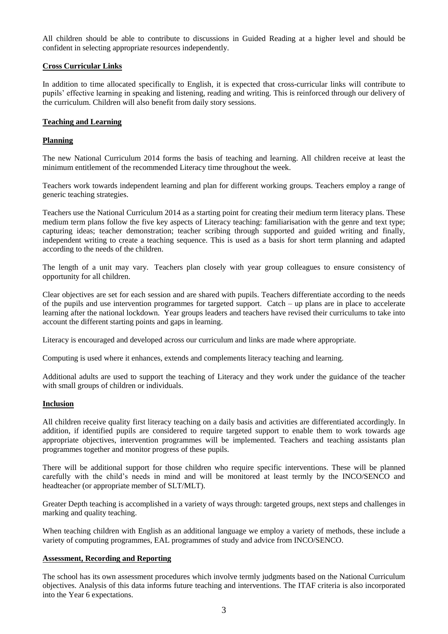All children should be able to contribute to discussions in Guided Reading at a higher level and should be confident in selecting appropriate resources independently.

### **Cross Curricular Links**

In addition to time allocated specifically to English, it is expected that cross-curricular links will contribute to pupils' effective learning in speaking and listening, reading and writing. This is reinforced through our delivery of the curriculum. Children will also benefit from daily story sessions.

#### **Teaching and Learning**

#### **Planning**

The new National Curriculum 2014 forms the basis of teaching and learning. All children receive at least the minimum entitlement of the recommended Literacy time throughout the week.

Teachers work towards independent learning and plan for different working groups. Teachers employ a range of generic teaching strategies.

Teachers use the National Curriculum 2014 as a starting point for creating their medium term literacy plans. These medium term plans follow the five key aspects of Literacy teaching: familiarisation with the genre and text type; capturing ideas; teacher demonstration; teacher scribing through supported and guided writing and finally, independent writing to create a teaching sequence. This is used as a basis for short term planning and adapted according to the needs of the children.

The length of a unit may vary. Teachers plan closely with year group colleagues to ensure consistency of opportunity for all children.

Clear objectives are set for each session and are shared with pupils. Teachers differentiate according to the needs of the pupils and use intervention programmes for targeted support. Catch – up plans are in place to accelerate learning after the national lockdown. Year groups leaders and teachers have revised their curriculums to take into account the different starting points and gaps in learning.

Literacy is encouraged and developed across our curriculum and links are made where appropriate.

Computing is used where it enhances, extends and complements literacy teaching and learning.

Additional adults are used to support the teaching of Literacy and they work under the guidance of the teacher with small groups of children or individuals.

#### **Inclusion**

All children receive quality first literacy teaching on a daily basis and activities are differentiated accordingly. In addition, if identified pupils are considered to require targeted support to enable them to work towards age appropriate objectives, intervention programmes will be implemented. Teachers and teaching assistants plan programmes together and monitor progress of these pupils.

There will be additional support for those children who require specific interventions. These will be planned carefully with the child's needs in mind and will be monitored at least termly by the INCO/SENCO and headteacher (or appropriate member of SLT/MLT).

Greater Depth teaching is accomplished in a variety of ways through: targeted groups, next steps and challenges in marking and quality teaching.

When teaching children with English as an additional language we employ a variety of methods, these include a variety of computing programmes, EAL programmes of study and advice from INCO/SENCO.

#### **Assessment, Recording and Reporting**

The school has its own assessment procedures which involve termly judgments based on the National Curriculum objectives. Analysis of this data informs future teaching and interventions. The ITAF criteria is also incorporated into the Year 6 expectations.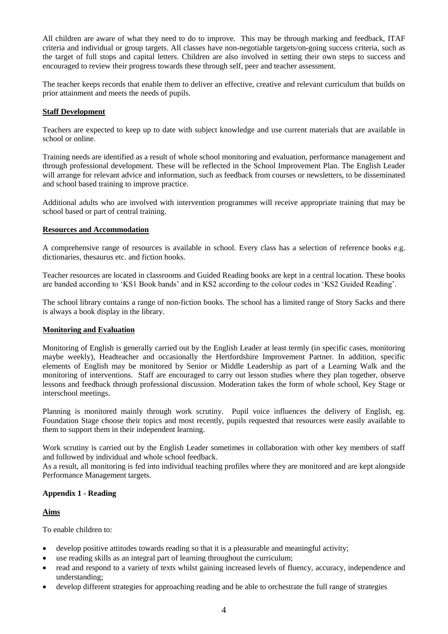All children are aware of what they need to do to improve. This may be through marking and feedback, ITAF criteria and individual or group targets. All classes have non-negotiable targets/on-going success criteria, such as the target of full stops and capital letters. Children are also involved in setting their own steps to success and encouraged to review their progress towards these through self, peer and teacher assessment.

The teacher keeps records that enable them to deliver an effective, creative and relevant curriculum that builds on prior attainment and meets the needs of pupils.

### **Staff Development**

Teachers are expected to keep up to date with subject knowledge and use current materials that are available in school or online.

Training needs are identified as a result of whole school monitoring and evaluation, performance management and through professional development. These will be reflected in the School Improvement Plan. The English Leader will arrange for relevant advice and information, such as feedback from courses or newsletters, to be disseminated and school based training to improve practice.

Additional adults who are involved with intervention programmes will receive appropriate training that may be school based or part of central training.

#### **Resources and Accommodation**

A comprehensive range of resources is available in school. Every class has a selection of reference books e.g. dictionaries, thesaurus etc. and fiction books.

Teacher resources are located in classrooms and Guided Reading books are kept in a central location. These books are banded according to 'KS1 Book bands' and in KS2 according to the colour codes in 'KS2 Guided Reading'.

The school library contains a range of non-fiction books. The school has a limited range of Story Sacks and there is always a book display in the library.

#### **Monitoring and Evaluation**

Monitoring of English is generally carried out by the English Leader at least termly (in specific cases, monitoring maybe weekly), Headteacher and occasionally the Hertfordshire Improvement Partner. In addition, specific elements of English may be monitored by Senior or Middle Leadership as part of a Learning Walk and the monitoring of interventions. Staff are encouraged to carry out lesson studies where they plan together, observe lessons and feedback through professional discussion. Moderation takes the form of whole school, Key Stage or interschool meetings.

Planning is monitored mainly through work scrutiny. Pupil voice influences the delivery of English, eg. Foundation Stage choose their topics and most recently, pupils requested that resources were easily available to them to support them in their independent learning.

Work scrutiny is carried out by the English Leader sometimes in collaboration with other key members of staff and followed by individual and whole school feedback.

As a result, all monitoring is fed into individual teaching profiles where they are monitored and are kept alongside Performance Management targets.

#### **Appendix 1 - Reading**

#### **Aims**

To enable children to:

- develop positive attitudes towards reading so that it is a pleasurable and meaningful activity;
- use reading skills as an integral part of learning throughout the curriculum;
- read and respond to a variety of texts whilst gaining increased levels of fluency, accuracy, independence and understanding;
- develop different strategies for approaching reading and be able to orchestrate the full range of strategies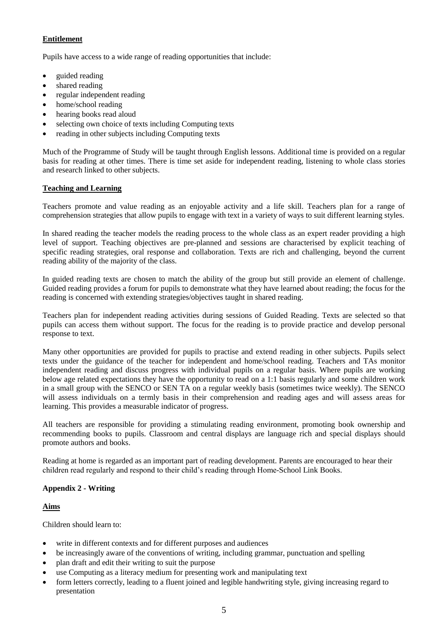# **Entitlement**

Pupils have access to a wide range of reading opportunities that include:

- guided reading
- shared reading
- regular independent reading
- home/school reading
- hearing books read aloud
- selecting own choice of texts including Computing texts
- reading in other subjects including Computing texts

Much of the Programme of Study will be taught through English lessons. Additional time is provided on a regular basis for reading at other times. There is time set aside for independent reading, listening to whole class stories and research linked to other subjects.

# **Teaching and Learning**

Teachers promote and value reading as an enjoyable activity and a life skill. Teachers plan for a range of comprehension strategies that allow pupils to engage with text in a variety of ways to suit different learning styles.

In shared reading the teacher models the reading process to the whole class as an expert reader providing a high level of support. Teaching objectives are pre-planned and sessions are characterised by explicit teaching of specific reading strategies, oral response and collaboration. Texts are rich and challenging, beyond the current reading ability of the majority of the class.

In guided reading texts are chosen to match the ability of the group but still provide an element of challenge. Guided reading provides a forum for pupils to demonstrate what they have learned about reading; the focus for the reading is concerned with extending strategies/objectives taught in shared reading.

Teachers plan for independent reading activities during sessions of Guided Reading. Texts are selected so that pupils can access them without support. The focus for the reading is to provide practice and develop personal response to text.

Many other opportunities are provided for pupils to practise and extend reading in other subjects. Pupils select texts under the guidance of the teacher for independent and home/school reading. Teachers and TAs monitor independent reading and discuss progress with individual pupils on a regular basis. Where pupils are working below age related expectations they have the opportunity to read on a 1:1 basis regularly and some children work in a small group with the SENCO or SEN TA on a regular weekly basis (sometimes twice weekly). The SENCO will assess individuals on a termly basis in their comprehension and reading ages and will assess areas for learning. This provides a measurable indicator of progress.

All teachers are responsible for providing a stimulating reading environment, promoting book ownership and recommending books to pupils. Classroom and central displays are language rich and special displays should promote authors and books.

Reading at home is regarded as an important part of reading development. Parents are encouraged to hear their children read regularly and respond to their child's reading through Home-School Link Books.

# **Appendix 2 - Writing**

# **Aims**

Children should learn to:

- write in different contexts and for different purposes and audiences
- be increasingly aware of the conventions of writing, including grammar, punctuation and spelling
- plan draft and edit their writing to suit the purpose
- use Computing as a literacy medium for presenting work and manipulating text
- form letters correctly, leading to a fluent joined and legible handwriting style, giving increasing regard to presentation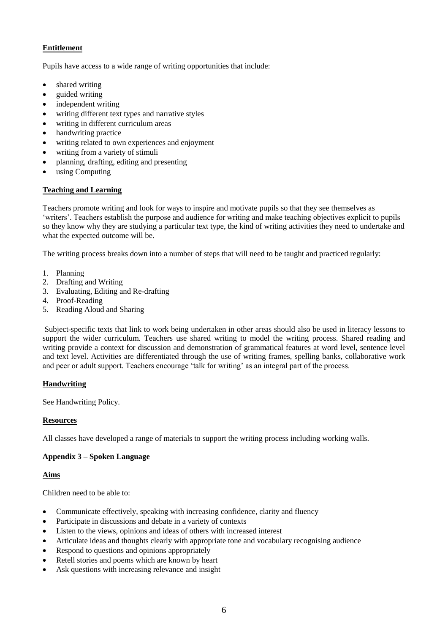# **Entitlement**

Pupils have access to a wide range of writing opportunities that include:

- shared writing
- guided writing
- independent writing
- writing different text types and narrative styles
- writing in different curriculum areas
- handwriting practice
- writing related to own experiences and enjoyment
- writing from a variety of stimuli
- planning, drafting, editing and presenting
- using Computing

# **Teaching and Learning**

Teachers promote writing and look for ways to inspire and motivate pupils so that they see themselves as 'writers'. Teachers establish the purpose and audience for writing and make teaching objectives explicit to pupils so they know why they are studying a particular text type, the kind of writing activities they need to undertake and what the expected outcome will be.

The writing process breaks down into a number of steps that will need to be taught and practiced regularly:

- 1. Planning
- 2. Drafting and Writing
- 3. Evaluating, Editing and Re-drafting
- 4. Proof-Reading
- 5. Reading Aloud and Sharing

Subject-specific texts that link to work being undertaken in other areas should also be used in literacy lessons to support the wider curriculum. Teachers use shared writing to model the writing process. Shared reading and writing provide a context for discussion and demonstration of grammatical features at word level, sentence level and text level. Activities are differentiated through the use of writing frames, spelling banks, collaborative work and peer or adult support. Teachers encourage 'talk for writing' as an integral part of the process.

# **Handwriting**

See Handwriting Policy.

# **Resources**

All classes have developed a range of materials to support the writing process including working walls.

# **Appendix 3 – Spoken Language**

# **Aims**

Children need to be able to:

- Communicate effectively, speaking with increasing confidence, clarity and fluency
- Participate in discussions and debate in a variety of contexts
- Listen to the views, opinions and ideas of others with increased interest
- Articulate ideas and thoughts clearly with appropriate tone and vocabulary recognising audience
- Respond to questions and opinions appropriately
- Retell stories and poems which are known by heart
- Ask questions with increasing relevance and insight